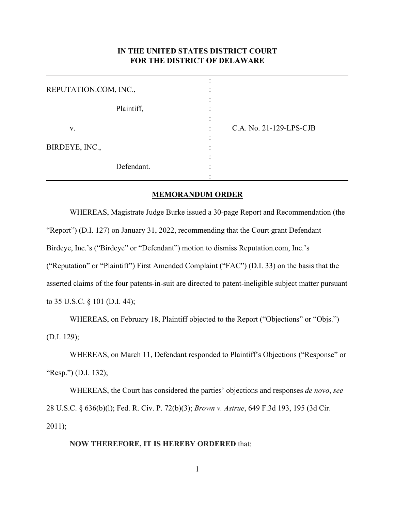## **IN THE UNITED STATES DISTRICT COURT FOR THE DISTRICT OF DELAWARE**

| REPUTATION.COM, INC., |                              |
|-----------------------|------------------------------|
| Plaintiff,            | ۰<br>۰<br>٠                  |
| V.                    | C.A. No. 21-129-LPS-CJB<br>٠ |
| BIRDEYE, INC.,        | ٠                            |
| Defendant.            |                              |

## **MEMORANDUM ORDER**

WHEREAS, Magistrate Judge Burke issued a 30-page Report and Recommendation (the "Report") (D.I. 127) on January 31, 2022, recommending that the Court grant Defendant Birdeye, Inc.'s ("Birdeye" or "Defendant") motion to dismiss Reputation.com, Inc.'s ("Reputation" or "Plaintiff") First Amended Complaint ("FAC") (D.I. 33) on the basis that the asserted claims of the four patents-in-suit are directed to patent-ineligible subject matter pursuant to 35 U.S.C. § 101 (D.I. 44);

WHEREAS, on February 18, Plaintiff objected to the Report ("Objections" or "Objs.") (D.I. 129);

WHEREAS, on March 11, Defendant responded to Plaintiff's Objections ("Response" or "Resp.") (D.I. 132);

WHEREAS, the Court has considered the parties' objections and responses *de novo*, *see*  28 U.S.C. § 636(b)(l); Fed. R. Civ. P. 72(b)(3); *Brown v. Astrue*, 649 F.3d 193, 195 (3d Cir. 2011);

## **NOW THEREFORE, IT IS HEREBY ORDERED** that: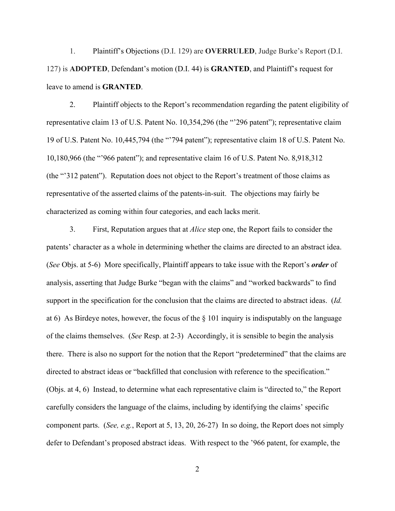1. Plaintiff's Objections (D.I. 129) are **OVERRULED**, Judge Burke's Report (D.I. 127) is **ADOPTED**, Defendant's motion (D.I. 44) is **GRANTED**, and Plaintiff's request for leave to amend is **GRANTED**.

 2. Plaintiff objects to the Report's recommendation regarding the patent eligibility of representative claim 13 of U.S. Patent No. 10,354,296 (the "'296 patent"); representative claim 19 of U.S. Patent No. 10,445,794 (the "'794 patent"); representative claim 18 of U.S. Patent No. 10,180,966 (the "'966 patent"); and representative claim 16 of U.S. Patent No. 8,918,312 (the "'312 patent"). Reputation does not object to the Report's treatment of those claims as representative of the asserted claims of the patents-in-suit. The objections may fairly be characterized as coming within four categories, and each lacks merit.

 3. First, Reputation argues that at *Alice* step one, the Report fails to consider the patents' character as a whole in determining whether the claims are directed to an abstract idea. (*See* Objs. at 5-6) More specifically, Plaintiff appears to take issue with the Report's *order* of analysis, asserting that Judge Burke "began with the claims" and "worked backwards" to find support in the specification for the conclusion that the claims are directed to abstract ideas. (*Id.* at 6) As Birdeye notes, however, the focus of the  $\S$  101 inquiry is indisputably on the language of the claims themselves. (*See* Resp. at 2-3) Accordingly, it is sensible to begin the analysis there. There is also no support for the notion that the Report "predetermined" that the claims are directed to abstract ideas or "backfilled that conclusion with reference to the specification." (Objs. at 4, 6) Instead, to determine what each representative claim is "directed to," the Report carefully considers the language of the claims, including by identifying the claims' specific component parts. (*See, e.g.*, Report at 5, 13, 20, 26-27) In so doing, the Report does not simply defer to Defendant's proposed abstract ideas. With respect to the '966 patent, for example, the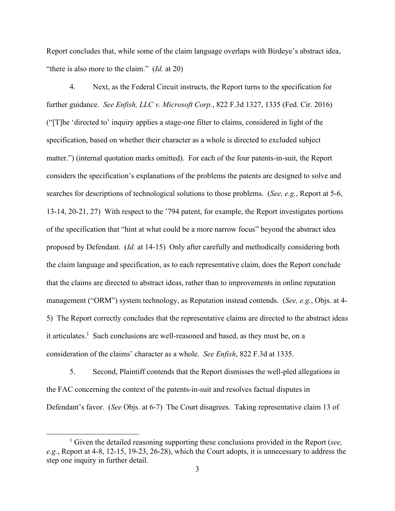Report concludes that, while some of the claim language overlaps with Birdeye's abstract idea, "there is also more to the claim." (*Id.* at 20)

 4. Next, as the Federal Circuit instructs, the Report turns to the specification for further guidance. *See Enfish, LLC v. Microsoft Corp.*, 822 F.3d 1327, 1335 (Fed. Cir. 2016) ("[T]he 'directed to' inquiry applies a stage-one filter to claims, considered in light of the specification, based on whether their character as a whole is directed to excluded subject matter.") (internal quotation marks omitted). For each of the four patents-in-suit, the Report considers the specification's explanations of the problems the patents are designed to solve and searches for descriptions of technological solutions to those problems. (*See, e.g.*, Report at 5-6, 13-14, 20-21, 27) With respect to the '794 patent, for example, the Report investigates portions of the specification that "hint at what could be a more narrow focus" beyond the abstract idea proposed by Defendant. (*Id.* at 14-15) Only after carefully and methodically considering both the claim language and specification, as to each representative claim, does the Report conclude that the claims are directed to abstract ideas, rather than to improvements in online reputation management ("ORM") system technology, as Reputation instead contends. (*See, e.g.*, Objs. at 4- 5) The Report correctly concludes that the representative claims are directed to the abstract ideas it articulates.<sup>1</sup> Such conclusions are well-reasoned and based, as they must be, on a consideration of the claims' character as a whole. *See Enfish*, 822 F.3d at 1335.

 5. Second, Plaintiff contends that the Report dismisses the well-pled allegations in the FAC concerning the context of the patents-in-suit and resolves factual disputes in Defendant's favor. (*See* Objs. at 6-7) The Court disagrees. Taking representative claim 13 of

<sup>&</sup>lt;sup>1</sup> Given the detailed reasoning supporting these conclusions provided in the Report (*see*, *e.g.*, Report at 4-8, 12-15, 19-23, 26-28), which the Court adopts, it is unnecessary to address the step one inquiry in further detail.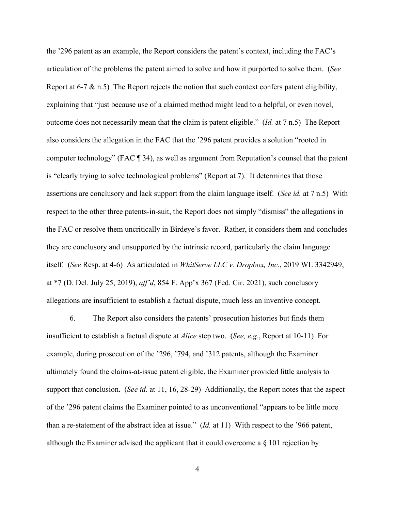the '296 patent as an example, the Report considers the patent's context, including the FAC's articulation of the problems the patent aimed to solve and how it purported to solve them. (*See*  Report at 6-7  $\&$  n.5) The Report rejects the notion that such context confers patent eligibility, explaining that "just because use of a claimed method might lead to a helpful, or even novel, outcome does not necessarily mean that the claim is patent eligible." (*Id.* at 7 n.5) The Report also considers the allegation in the FAC that the '296 patent provides a solution "rooted in computer technology" (FAC ¶ 34), as well as argument from Reputation's counsel that the patent is "clearly trying to solve technological problems" (Report at 7). It determines that those assertions are conclusory and lack support from the claim language itself. (*See id.* at 7 n.5) With respect to the other three patents-in-suit, the Report does not simply "dismiss" the allegations in the FAC or resolve them uncritically in Birdeye's favor. Rather, it considers them and concludes they are conclusory and unsupported by the intrinsic record, particularly the claim language itself. (*See* Resp. at 4-6) As articulated in *WhitServe LLC v. Dropbox, Inc.*, 2019 WL 3342949, at \*7 (D. Del. July 25, 2019), *aff'd*, 854 F. App'x 367 (Fed. Cir. 2021), such conclusory allegations are insufficient to establish a factual dispute, much less an inventive concept.

 6. The Report also considers the patents' prosecution histories but finds them insufficient to establish a factual dispute at *Alice* step two. (*See, e.g.*, Report at 10-11) For example, during prosecution of the '296, '794, and '312 patents, although the Examiner ultimately found the claims-at-issue patent eligible, the Examiner provided little analysis to support that conclusion. (*See id.* at 11, 16, 28-29) Additionally, the Report notes that the aspect of the '296 patent claims the Examiner pointed to as unconventional "appears to be little more than a re-statement of the abstract idea at issue." (*Id.* at 11) With respect to the '966 patent, although the Examiner advised the applicant that it could overcome a  $\S$  101 rejection by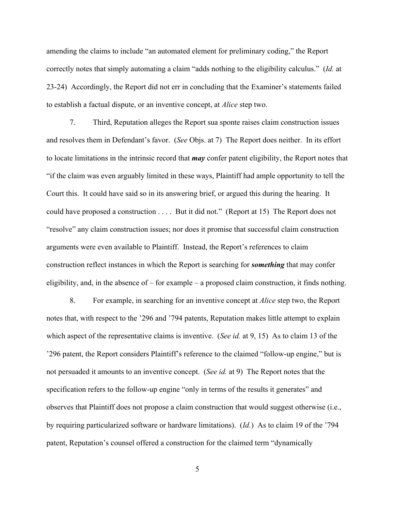amending the claims to include "an automated element for preliminary coding," the Report correctly notes that simply automating a claim "adds nothing to the eligibility calculus." (*Id.* at 23-24) Accordingly, the Report did not err in concluding that the Examiner's statements failed to establish a factual dispute, or an inventive concept, at *Alice* step two.

 7. Third, Reputation alleges the Report sua sponte raises claim construction issues and resolves them in Defendant's favor. (*See* Objs. at 7) The Report does neither. In its effort to locate limitations in the intrinsic record that *may* confer patent eligibility, the Report notes that "if the claim was even arguably limited in these ways, Plaintiff had ample opportunity to tell the Court this. It could have said so in its answering brief, or argued this during the hearing. It could have proposed a construction . . . . But it did not." (Report at 15) The Report does not "resolve" any claim construction issues; nor does it promise that successful claim construction arguments were even available to Plaintiff. Instead, the Report's references to claim construction reflect instances in which the Report is searching for *something* that may confer eligibility, and, in the absence of – for example – a proposed claim construction, it finds nothing.

 8. For example, in searching for an inventive concept at *Alice* step two, the Report notes that, with respect to the '296 and '794 patents, Reputation makes little attempt to explain which aspect of the representative claims is inventive. (*See id.* at 9, 15) As to claim 13 of the '296 patent, the Report considers Plaintiff's reference to the claimed "follow-up engine," but is not persuaded it amounts to an inventive concept. (*See id.* at 9) The Report notes that the specification refers to the follow-up engine "only in terms of the results it generates" and observes that Plaintiff does not propose a claim construction that would suggest otherwise (i.e., by requiring particularized software or hardware limitations). (*Id.*) As to claim 19 of the '794 patent, Reputation's counsel offered a construction for the claimed term "dynamically

5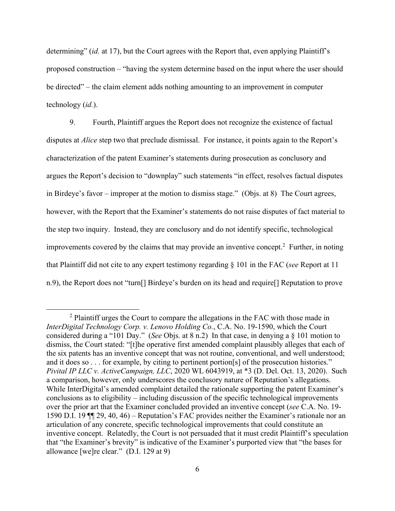determining" (*id.* at 17), but the Court agrees with the Report that, even applying Plaintiff's proposed construction – "having the system determine based on the input where the user should be directed" – the claim element adds nothing amounting to an improvement in computer technology (*id.*).

 9. Fourth, Plaintiff argues the Report does not recognize the existence of factual disputes at *Alice* step two that preclude dismissal. For instance, it points again to the Report's characterization of the patent Examiner's statements during prosecution as conclusory and argues the Report's decision to "downplay" such statements "in effect, resolves factual disputes in Birdeye's favor – improper at the motion to dismiss stage." (Objs. at 8) The Court agrees, however, with the Report that the Examiner's statements do not raise disputes of fact material to the step two inquiry. Instead, they are conclusory and do not identify specific, technological improvements covered by the claims that may provide an inventive concept.<sup>2</sup> Further, in noting that Plaintiff did not cite to any expert testimony regarding § 101 in the FAC (*see* Report at 11 n.9), the Report does not "turn[] Birdeye's burden on its head and require[] Reputation to prove

<sup>&</sup>lt;sup>2</sup> Plaintiff urges the Court to compare the allegations in the FAC with those made in *InterDigital Technology Corp. v. Lenovo Holding Co.*, C.A. No. 19-1590, which the Court considered during a "101 Day." (*See* Objs. at 8 n.2) In that case, in denying a § 101 motion to dismiss, the Court stated: "[t]he operative first amended complaint plausibly alleges that each of the six patents has an inventive concept that was not routine, conventional, and well understood; and it does so . . . for example, by citing to pertinent portion[s] of the prosecution histories." *Pivital IP LLC v. ActiveCampaign, LLC*, 2020 WL 6043919, at \*3 (D. Del. Oct. 13, 2020). Such a comparison, however, only underscores the conclusory nature of Reputation's allegations. While InterDigital's amended complaint detailed the rationale supporting the patent Examiner's conclusions as to eligibility – including discussion of the specific technological improvements over the prior art that the Examiner concluded provided an inventive concept (*see* C.A. No. 19- 1590 D.I. 19 ¶¶ 29, 40, 46) – Reputation's FAC provides neither the Examiner's rationale nor an articulation of any concrete, specific technological improvements that could constitute an inventive concept. Relatedly, the Court is not persuaded that it must credit Plaintiff's speculation that "the Examiner's brevity" is indicative of the Examiner's purported view that "the bases for allowance [we]re clear." (D.I. 129 at 9)